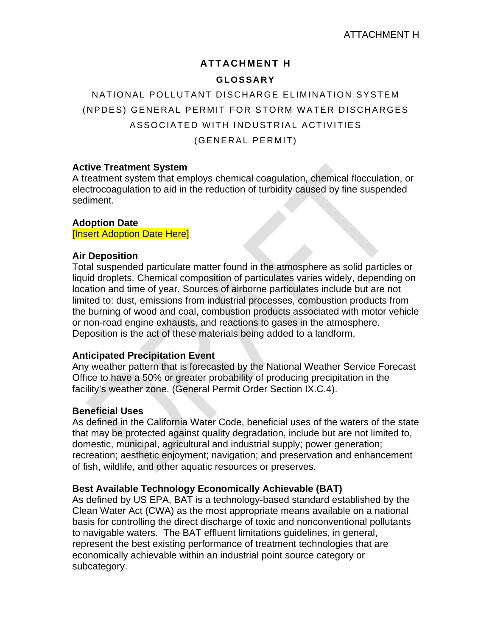# **ATTACHMENT H GLOSSARY**

# NATIONAL POLLUTANT DISCHARGE ELIMINATION SYSTEM (NPDES) GENERAL PERMIT FOR STORM WATER DISCHARGES ASSOCIATED WITH INDUSTRIAL ACTIVITIES (GENERAL PERMIT)

## **Active Treatment System**

A treatment system that employs chemical coagulation, chemical flocculation, or electrocoagulation to aid in the reduction of turbidity caused by fine suspended sediment.

## **Adoption Date**

[Insert Adoption Date Here]

## **Air Deposition**

Total suspended particulate matter found in the atmosphere as solid particles or liquid droplets. Chemical composition of particulates varies widely, depending on location and time of year. Sources of airborne particulates include but are not limited to: dust, emissions from industrial processes, combustion products from the burning of wood and coal, combustion products associated with motor vehicle or non-road engine exhausts, and reactions to gases in the atmosphere. Deposition is the act of these materials being added to a landform.

# **Anticipated Precipitation Event**

Any weather pattern that is forecasted by the National Weather Service Forecast Office to have a 50% or greater probability of producing precipitation in the facility's weather zone. (General Permit Order Section IX.C.4).

## **Beneficial Uses**

As defined in the California Water Code, beneficial uses of the waters of the state that may be protected against quality degradation, include but are not limited to, domestic, municipal, agricultural and industrial supply; power generation; recreation; aesthetic enjoyment; navigation; and preservation and enhancement of fish, wildlife, and other aquatic resources or preserves.

# **Best Available Technology Economically Achievable (BAT)**

As defined by US EPA, BAT is a technology-based standard established by the Clean Water Act (CWA) as the most appropriate means available on a national basis for controlling the direct discharge of toxic and nonconventional pollutants to navigable waters. The BAT effluent limitations guidelines, in general, represent the best existing performance of treatment technologies that are economically achievable within an industrial point source category or subcategory.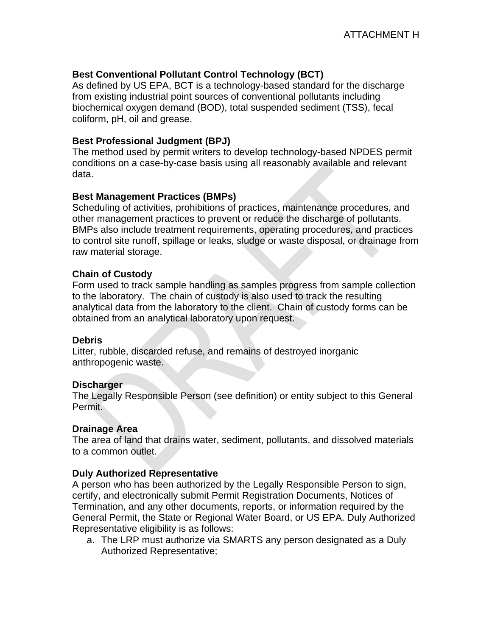## **Best Conventional Pollutant Control Technology (BCT)**

As defined by US EPA, BCT is a technology-based standard for the discharge from existing industrial point sources of conventional pollutants including biochemical oxygen demand (BOD), total suspended sediment (TSS), fecal coliform, pH, oil and grease.

#### **Best Professional Judgment (BPJ)**

The method used by permit writers to develop technology-based NPDES permit conditions on a case-by-case basis using all reasonably available and relevant data.

## **Best Management Practices (BMPs)**

Scheduling of activities, prohibitions of practices, maintenance procedures, and other management practices to prevent or reduce the discharge of pollutants. BMPs also include treatment requirements, operating procedures, and practices to control site runoff, spillage or leaks, sludge or waste disposal, or drainage from raw material storage.

## **Chain of Custody**

Form used to track sample handling as samples progress from sample collection to the laboratory. The chain of custody is also used to track the resulting analytical data from the laboratory to the client. Chain of custody forms can be obtained from an analytical laboratory upon request.

## **Debris**

Litter, rubble, discarded refuse, and remains of destroyed inorganic anthropogenic waste.

## **Discharger**

The Legally Responsible Person (see definition) or entity subject to this General Permit.

## **Drainage Area**

The area of land that drains water, sediment, pollutants, and dissolved materials to a common outlet.

## **Duly Authorized Representative**

A person who has been authorized by the Legally Responsible Person to sign, certify, and electronically submit Permit Registration Documents, Notices of Termination, and any other documents, reports, or information required by the General Permit, the State or Regional Water Board, or US EPA. Duly Authorized Representative eligibility is as follows:

a. The LRP must authorize via SMARTS any person designated as a Duly Authorized Representative;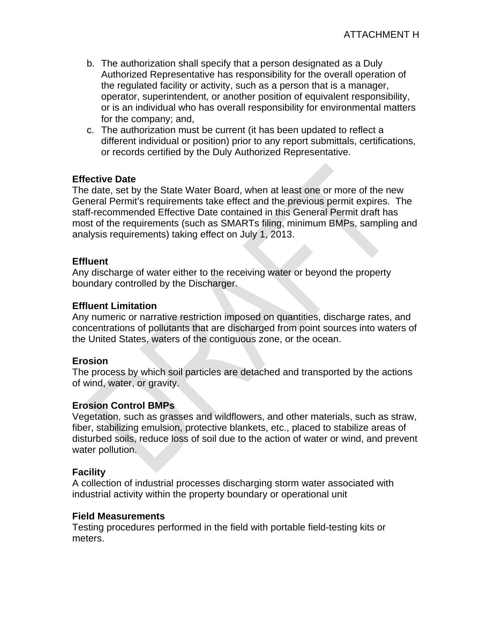- b. The authorization shall specify that a person designated as a Duly Authorized Representative has responsibility for the overall operation of the regulated facility or activity, such as a person that is a manager, operator, superintendent, or another position of equivalent responsibility, or is an individual who has overall responsibility for environmental matters for the company; and,
- c. The authorization must be current (it has been updated to reflect a different individual or position) prior to any report submittals, certifications, or records certified by the Duly Authorized Representative.

## **Effective Date**

The date, set by the State Water Board, when at least one or more of the new General Permit's requirements take effect and the previous permit expires. The staff-recommended Effective Date contained in this General Permit draft has most of the requirements (such as SMARTs filing, minimum BMPs, sampling and analysis requirements) taking effect on July 1, 2013.

## **Effluent**

Any discharge of water either to the receiving water or beyond the property boundary controlled by the Discharger.

## **Effluent Limitation**

Any numeric or narrative restriction imposed on quantities, discharge rates, and concentrations of pollutants that are discharged from point sources into waters of the United States, waters of the contiguous zone, or the ocean.

## **Erosion**

The process by which soil particles are detached and transported by the actions of wind, water, or gravity.

## **Erosion Control BMPs**

Vegetation, such as grasses and wildflowers, and other materials, such as straw, fiber, stabilizing emulsion, protective blankets, etc., placed to stabilize areas of disturbed soils, reduce loss of soil due to the action of water or wind, and prevent water pollution.

# **Facility**

A collection of industrial processes discharging storm water associated with industrial activity within the property boundary or operational unit

## **Field Measurements**

Testing procedures performed in the field with portable field-testing kits or meters.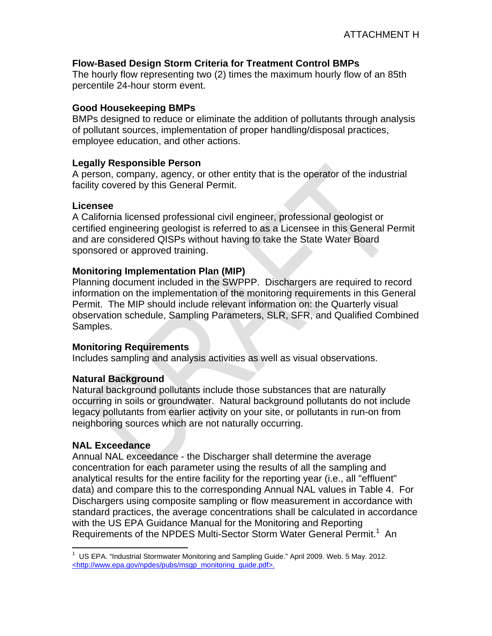# **Flow-Based Design Storm Criteria for Treatment Control BMPs**

The hourly flow representing two (2) times the maximum hourly flow of an 85th percentile 24-hour storm event.

## **Good Housekeeping BMPs**

BMPs designed to reduce or eliminate the addition of pollutants through analysis of pollutant sources, implementation of proper handling/disposal practices, employee education, and other actions.

# **Legally Responsible Person**

A person, company, agency, or other entity that is the operator of the industrial facility covered by this General Permit.

## **Licensee**

A California licensed professional civil engineer, professional geologist or certified engineering geologist is referred to as a Licensee in this General Permit and are considered QISPs without having to take the State Water Board sponsored or approved training.

## **Monitoring Implementation Plan (MIP)**

Planning document included in the SWPPP. Dischargers are required to record information on the implementation of the monitoring requirements in this General Permit. The MIP should include relevant information on: the Quarterly visual observation schedule, Sampling Parameters, SLR, SFR, and Qualified Combined Samples.

## **Monitoring Requirements**

Includes sampling and analysis activities as well as visual observations.

# **Natural Background**

Natural background pollutants include those substances that are naturally occurring in soils or groundwater. Natural background pollutants do not include legacy pollutants from earlier activity on your site, or pollutants in run-on from neighboring sources which are not naturally occurring.

## **NAL Exceedance**

Annual NAL exceedance - the Discharger shall determine the average concentration for each parameter using the results of all the sampling and analytical results for the entire facility for the reporting year (i.e., all "effluent" data) and compare this to the corresponding Annual NAL values in Table 4. For Dischargers using composite sampling or flow measurement in accordance with standard practices, the average concentrations shall be calculated in accordance with the US EPA Guidance Manual for the Monitoring and Reporting Requirements of the NPDES Multi-Sector Storm Water General Permit.<sup>1</sup> An

<sup>1</sup> <sup>1</sup> US EPA. "Industrial Stormwater Monitoring and Sampling Guide." April 2009. Web. 5 May. 2012. <http://www.epa.gov/npdes/pubs/msgp\_monitoring\_guide.pdf>.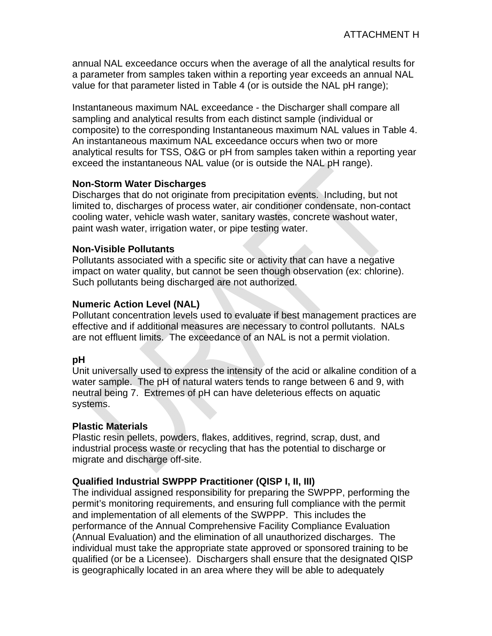annual NAL exceedance occurs when the average of all the analytical results for a parameter from samples taken within a reporting year exceeds an annual NAL value for that parameter listed in Table 4 (or is outside the NAL pH range);

Instantaneous maximum NAL exceedance - the Discharger shall compare all sampling and analytical results from each distinct sample (individual or composite) to the corresponding Instantaneous maximum NAL values in Table 4. An instantaneous maximum NAL exceedance occurs when two or more analytical results for TSS, O&G or pH from samples taken within a reporting year exceed the instantaneous NAL value (or is outside the NAL pH range).

## **Non-Storm Water Discharges**

Discharges that do not originate from precipitation events. Including, but not limited to, discharges of process water, air conditioner condensate, non-contact cooling water, vehicle wash water, sanitary wastes, concrete washout water, paint wash water, irrigation water, or pipe testing water.

## **Non-Visible Pollutants**

Pollutants associated with a specific site or activity that can have a negative impact on water quality, but cannot be seen though observation (ex: chlorine). Such pollutants being discharged are not authorized.

## **Numeric Action Level (NAL)**

Pollutant concentration levels used to evaluate if best management practices are effective and if additional measures are necessary to control pollutants. NALs are not effluent limits. The exceedance of an NAL is not a permit violation.

# **pH**

Unit universally used to express the intensity of the acid or alkaline condition of a water sample. The pH of natural waters tends to range between 6 and 9, with neutral being 7. Extremes of pH can have deleterious effects on aquatic systems.

## **Plastic Materials**

Plastic resin pellets, powders, flakes, additives, regrind, scrap, dust, and industrial process waste or recycling that has the potential to discharge or migrate and discharge off-site.

# **Qualified Industrial SWPPP Practitioner (QISP I, II, III)**

The individual assigned responsibility for preparing the SWPPP, performing the permit's monitoring requirements, and ensuring full compliance with the permit and implementation of all elements of the SWPPP. This includes the performance of the Annual Comprehensive Facility Compliance Evaluation (Annual Evaluation) and the elimination of all unauthorized discharges. The individual must take the appropriate state approved or sponsored training to be qualified (or be a Licensee). Dischargers shall ensure that the designated QISP is geographically located in an area where they will be able to adequately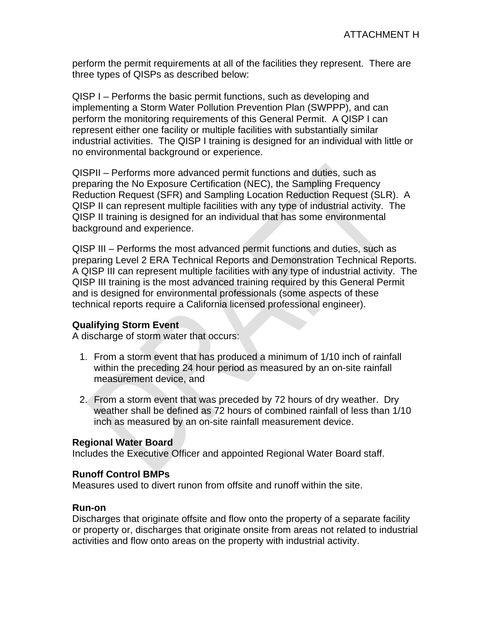perform the permit requirements at all of the facilities they represent. There are three types of QISPs as described below:

QISP I – Performs the basic permit functions, such as developing and implementing a Storm Water Pollution Prevention Plan (SWPPP), and can perform the monitoring requirements of this General Permit. A QISP I can represent either one facility or multiple facilities with substantially similar industrial activities. The QISP I training is designed for an individual with little or no environmental background or experience.

QISPII – Performs more advanced permit functions and duties, such as preparing the No Exposure Certification (NEC), the Sampling Frequency Reduction Request (SFR) and Sampling Location Reduction Request (SLR). A QISP II can represent multiple facilities with any type of industrial activity. The QISP II training is designed for an individual that has some environmental background and experience.

QISP III – Performs the most advanced permit functions and duties, such as preparing Level 2 ERA Technical Reports and Demonstration Technical Reports. A QISP III can represent multiple facilities with any type of industrial activity. The QISP III training is the most advanced training required by this General Permit and is designed for environmental professionals (some aspects of these technical reports require a California licensed professional engineer).

## **Qualifying Storm Event**

A discharge of storm water that occurs:

- 1. From a storm event that has produced a minimum of 1/10 inch of rainfall within the preceding 24 hour period as measured by an on-site rainfall measurement device, and
- 2. From a storm event that was preceded by 72 hours of dry weather. Dry weather shall be defined as 72 hours of combined rainfall of less than 1/10 inch as measured by an on-site rainfall measurement device.

## **Regional Water Board**

Includes the Executive Officer and appointed Regional Water Board staff.

## **Runoff Control BMPs**

Measures used to divert runon from offsite and runoff within the site.

## **Run-on**

Discharges that originate offsite and flow onto the property of a separate facility or property or, discharges that originate onsite from areas not related to industrial activities and flow onto areas on the property with industrial activity.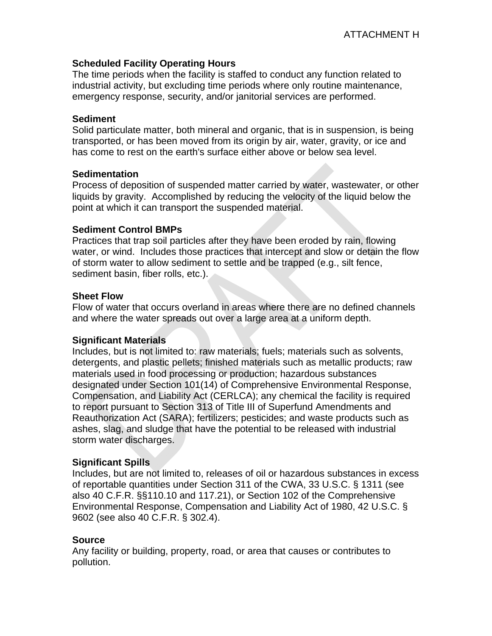## **Scheduled Facility Operating Hours**

The time periods when the facility is staffed to conduct any function related to industrial activity, but excluding time periods where only routine maintenance, emergency response, security, and/or janitorial services are performed.

## **Sediment**

Solid particulate matter, both mineral and organic, that is in suspension, is being transported, or has been moved from its origin by air, water, gravity, or ice and has come to rest on the earth's surface either above or below sea level.

## **Sedimentation**

Process of deposition of suspended matter carried by water, wastewater, or other liquids by gravity. Accomplished by reducing the velocity of the liquid below the point at which it can transport the suspended material.

## **Sediment Control BMPs**

Practices that trap soil particles after they have been eroded by rain, flowing water, or wind. Includes those practices that intercept and slow or detain the flow of storm water to allow sediment to settle and be trapped (e.g., silt fence, sediment basin, fiber rolls, etc.).

## **Sheet Flow**

Flow of water that occurs overland in areas where there are no defined channels and where the water spreads out over a large area at a uniform depth.

## **Significant Materials**

Includes, but is not limited to: raw materials; fuels; materials such as solvents, detergents, and plastic pellets; finished materials such as metallic products; raw materials used in food processing or production; hazardous substances designated under Section 101(14) of Comprehensive Environmental Response, Compensation, and Liability Act (CERLCA); any chemical the facility is required to report pursuant to Section 313 of Title III of Superfund Amendments and Reauthorization Act (SARA); fertilizers; pesticides; and waste products such as ashes, slag, and sludge that have the potential to be released with industrial storm water discharges.

# **Significant Spills**

Includes, but are not limited to, releases of oil or hazardous substances in excess of reportable quantities under Section 311 of the CWA, 33 U.S.C. § 1311 (see also 40 C.F.R. §§110.10 and 117.21), or Section 102 of the Comprehensive Environmental Response, Compensation and Liability Act of 1980, 42 U.S.C. § 9602 (see also 40 C.F.R. § 302.4).

# **Source**

Any facility or building, property, road, or area that causes or contributes to pollution.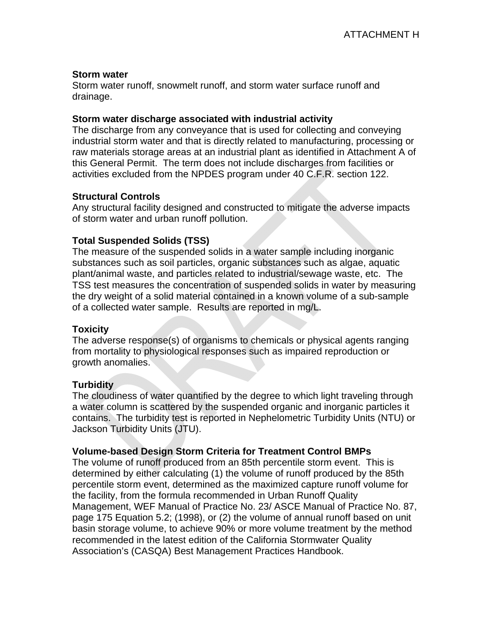## **Storm water**

Storm water runoff, snowmelt runoff, and storm water surface runoff and drainage.

## **Storm water discharge associated with industrial activity**

The discharge from any conveyance that is used for collecting and conveying industrial storm water and that is directly related to manufacturing, processing or raw materials storage areas at an industrial plant as identified in Attachment A of this General Permit. The term does not include discharges from facilities or activities excluded from the NPDES program under 40 C.F.R. section 122.

# **Structural Controls**

Any structural facility designed and constructed to mitigate the adverse impacts of storm water and urban runoff pollution.

# **Total Suspended Solids (TSS)**

The measure of the suspended solids in a water sample including inorganic substances such as soil particles, organic substances such as algae, aquatic plant/animal waste, and particles related to industrial/sewage waste, etc. The TSS test measures the concentration of suspended solids in water by measuring the dry weight of a solid material contained in a known volume of a sub-sample of a collected water sample. Results are reported in mg/L.

# **Toxicity**

The adverse response(s) of organisms to chemicals or physical agents ranging from mortality to physiological responses such as impaired reproduction or growth anomalies.

# **Turbidity**

The cloudiness of water quantified by the degree to which light traveling through a water column is scattered by the suspended organic and inorganic particles it contains. The turbidity test is reported in Nephelometric Turbidity Units (NTU) or Jackson Turbidity Units (JTU).

# **Volume-based Design Storm Criteria for Treatment Control BMPs**

The volume of runoff produced from an 85th percentile storm event. This is determined by either calculating (1) the volume of runoff produced by the 85th percentile storm event, determined as the maximized capture runoff volume for the facility, from the formula recommended in Urban Runoff Quality Management, WEF Manual of Practice No. 23/ ASCE Manual of Practice No. 87, page 175 Equation 5.2; (1998), or (2) the volume of annual runoff based on unit basin storage volume, to achieve 90% or more volume treatment by the method recommended in the latest edition of the California Stormwater Quality Association's (CASQA) Best Management Practices Handbook.